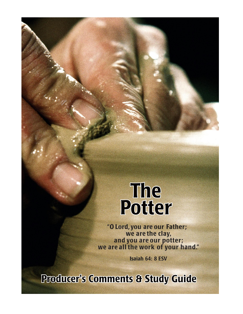# The Potter

"O Lord, you are our Father;<br>we are the clay, and you are our potter;<br>we are all the work of your hand."

**Isaiah 64: 8 ESV** 

**Producer's Comments & Study Guide**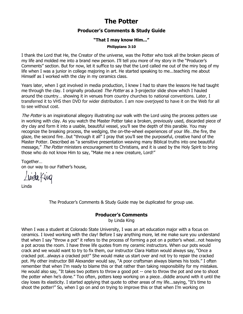# **The Potter**

# **Producer's Comments & Study Guide**

#### **"That I may know Him..."**

**Philippians 3:10**

I thank the Lord that He, the Creator of the universe, was the Potter who took all the broken pieces of my life and molded me into a brand new person. I'll tell you more of my story in the "Producer's Comments" section. But for now, let it suffice to say that the Lord called me out of the miry bog of my life when I was a junior in college majoring in art. He started speaking to me...teaching me about Himself as I worked with the clay in my ceramics class.

Years later, when I got involved in media production, I knew I had to share the lessons He had taught me through the clay. I originally produced *The Potter* as a 3-projector slide show which I hauled around the country… showing it in venues from country churches to national conventions. Later, I transferred it to VHS then DVD for wider distribution. I am now overjoyed to have it on the Web for all to see without cost.

The Potter is an inspirational allegory illustrating our walk with the Lord using the process potters use in working with clay. As you watch the Master Potter take a broken, previously used, discarded piece of dry clay and form it into a usable, beautiful vessel, you'll see the depth of this parable. You may recognize the breaking process, the wedging, the on-the-wheel experiences of your life…the fire, the glaze, the second fire…but "through it all" I pray that you'll see the purposeful, creative hand of the Master Potter. Described as "a sensitive presentation weaving many Biblical truths into one beautiful message," The Potter ministers encouragement to Christians, and it is used by the Holy Spirit to bring those who do not know Him to say, "Make me a new creature, Lord!"

Together… on our way to our Father's house,

Livela King

Linda

The Producer's Comments & Study Guide may be duplicated for group use.

#### **Producer's Comments**

by Linda King

When I was a student at Colorado State University, I was an art education major with a focus on ceramics. I loved working with the clay! Before I say anything more, let me make sure you understand that when I say "throw a pot" it refers to the process of forming a pot on a potter's wheel…not heaving a pot across the room. I have three life quotes from my ceramic instructors. When our pots would crack and we would want to try to fix them, our instructor Clara Hatton would always say, "Once a cracked pot…always a cracked pot!" She would make us start over and not try to repair the cracked pot. My other instructor Bill Alexander would say, "A poor craftsman always blames his tools." I often remember that when I'm ready to blame this or that rather than taking responsibility for my mistakes. He would also say, "It takes two potters to throw a good pot -- one to throw the pot and one to shoot the potter when he's done." Too often, potters keep working on a piece…diddle around with it until the clay loses its elasticity. I started applying that quote to other areas of my life...saying, "It's time to shoot the potter!" So, when I go on and on trying to improve this or that when I'm working on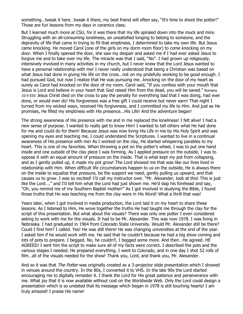something…tweak it here…tweak it there, my best friend will often say, "It's time to shoot the potter!" Those are fun lessons from my days in ceramics class.

But I learned much more at CSU, for it was there that my life spiraled down into the muck and mire. Struggling with an all-consuming loneliness, an unsatisfied longing to belong to someone, and the depravity of life that came in trying to fill that emptiness, I determined to take my own life. But Jesus came knocking. He moved Carol (one of the girls on my dorm room floor) to come knocking on my door. When I finally opened the door, she saw my despair and asked me if I had ever asked Jesus to forgive me and to take over my life. The miracle was that I said, "No". I had grown up religiously, intensively involved in many activities in my church, but I never knew that the Lord Jesus wanted to have a personal relationship with me! I never really understood that being a Christian was based on what Jesus had done in giving His life on the cross...not on my pridefully working to be good enough. I had pursued God, but now I realize that He was pursuing me…knocking on the door of my heart as surely as Carol had knocked on the door of my room. Carol said, "If you confess with your mouth that Jesus is Lord and believe in your heart that God raised Him from the dead, you will be saved." Romans 10:9 ESV Jesus Christ died on the cross to pay the penalty for everything bad that I was doing, had ever done, or would ever do! His forgiveness was a free gift I could receive but never earn! That night I turned from my wicked ways, received His forgiveness, and I committed my life to Him. And just as He promises, He filled my emptiness with His presence...His Life! And the adventure began!

The strong awareness of His presence with me and in me replaced the loneliness! I felt alive! I had a new sense of purpose. I wanted to really get to know Him! I wanted to tell others what He had done for me and could do for them! Because Jesus was now living His Life in me by His Holy Spirit and was opening my eyes and teaching me, I could understand the Scriptures. I wanted to live in a continual awareness of His presence with me! As I worked on the clay, He started whispering parables to my heart. This is one of my favorites. When throwing a pot on the potter's wheel, I was to put one hand inside and one outside of the clay piece I was forming. As I applied pressure on the outside, I was to oppose it with an equal amount of pressure on the inside. That is what kept my pot from collapsing, and as I gently pulled up, it made my pot grow! The Lord showed me that was like our lives lived in relationship with Him. When difficult life circumstances happen to us on the outside, He is always there on the inside to equalize that pressure, be the support we need, gently pulling us upward, and that causes us to grow. I was so excited! I'd call my instructor over. "Mr. Alexander, look at this! This is just like the Lord…," and I'd tell him what the Lord had just shown me. He'd slap his forehead and say, "Oh, you remind me of my Southern Baptist mother!" As I got involved in studying the Bible, I found those truths that He was teaching me from the clay were in His Word! What a thrill that was!

Years later, when I got involved in media production, the Lord laid it on my heart to share these lessons. As I listened to Him, He wove together the truths He had taught me through the clay for the script of this presentation. But what about the visuals? There was only one potter I even considered asking to work with me for the visuals. It had to be Mr. Alexander. This was now 1978. I was living in Nebraska. I had graduated in 1964 from Colorado State University. Would Mr. Alexander still be there? Could I find him? I called. Yes! He was still there! He was changing universities at the end of the year. I asked him if he would work with me. He said that he couldn't because he had a big show coming and lots of pots to prepare. I begged. No, he couldn't. I begged some more. And then…He agreed. HE AGREED! I sent him the script to make sure all of my facts were correct. I described the pots and the various stages I needed. He prepared everything. I went to Colorado, and in one day I shot 52 rolls of film…all of the visuals needed for the show! Thank you, Lord, and thank you, Mr. Alexander.

And so it was that *The Potter* was originally created as a 3-projector slide presentation which I showed in venues around the country. In the 80s, I converted it to VHS. In the late 90s the Lord started encouraging me to digitally remaster it. I thank the Lord for His great patience and perseverance with me. What joy that it is now available without cost on the Worldwide Web. Only the Lord could design a presentation which is so undated that its message which began in 1978 is still touching hearts! I am truly amazed! I praise His name!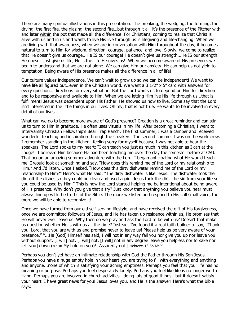There are many spiritual illustrations in this presentation. The breaking, the wedging, the forming, the drying, the first fire, the glazing, the second fire…but through it all, it's the presence of the Pitcher with and later within the pot that made all the difference. For Christians, coming to realize that Christ is alive with us and in us and wants to live His live through us is lifegiving and life-changing! When we are living with that awareness, when we are in conversation with Him throughout the day, it becomes natural to turn to Him for wisdom, direction, courage, patience, and love. Slowly, we come to realize that He doesn't give us courage...He IS our courage! He doesn't give us strength...He IS our strength! He doesn't just give us life, He is the Life He gives us! When we become aware of His presence, we begin to understand that we are not alone. We can give Him our anxiety. He can help us not yield to temptation. Being aware of His presence makes all the difference in all of life!

Our culture values independence. We can't wait to grow up so we can be independent! We want to have life all figured out...even in the Christian world. We want a 3 1/2" x 5" card with answers for every question… directions for every situation. But the Lord wants us to depend on Him for direction and to be responsive and available to Him. When we are letting Him live His life through us...that is fulfillment! Jesus was dependent upon His Father! He showed us how to live. Some say that the Lord isn't interested in the little things in our lives. Oh my, that is not true. He wants to be involved in every detail of our lives.

What can we do to become more aware of God's presence? Creation is a great reminder and can stir us to turn to Him in gratitude. He often uses visuals in my life. After becoming a Christian, I went to InterVarsity Christian Fellowship's Bear Trap Ranch. The first summer, I was a camper and received wonderful teaching and inspiration through the speakers. The second summer I was on the work crew. I remember standing in the kitchen…feeling sorry for myself because I was not able to hear the speakers. The Lord spoke to my heart: "I can teach you just as much in this kitchen as I can at the Lodge!" I believed Him because He had been teaching me over the clay the semester before at CSU. That began an amazing summer adventure with the Lord. I began anticipating what He would teach me! I would look at something and say, "How does this remind me of the Lord or my relationship to Him." And I'd listen. Once I asked, "How does this dirty dishwater remind me of the Lord or my relationship to Him?" Here's what He said: "The dirty dishwater is like Jesus. The dishwater took the dirt off the dishes so they could be clean and used again. Jesus took the dirt…the sin from your life so you could be used by Him." This is how the Lord started helping me be intentional about being aware of His presence. Why don't you give that a try? Just know that anything you believe you hear must always line up with the truths of the Bible. The more we listen and respond to His still small voice, the more we will be able to recognize it!

Once we have turned from our old self-serving lifestyle, and have received the gift of His forgiveness, once we are committed followers of Jesus, and He has taken up residence within us, He promises that He will never ever leave us! Why then do we pray and ask the Lord to be with us? Doesn't that make us question whether He is with us all the time? Instead, I've found it a real faith builder to say, "Thank you, Lord, that you are with us and promise never to leave us! Please help us be very aware of your presence." "...He [God] Himself has said, I will not in any way fail you nor give you up nor leave you without support. [I will] not, [I will] not, [I will] not in any degree leave you helpless nor forsake nor let [you] down (relax My hold on you)! [Assuredly not!] Hebrews 13:5b AMPC

Perhaps you don't yet have an intimate relationship with God the Father through His Son Jesus. Perhaps you have a huge empty hole in your heart you are trying to fill with everything and anything and anyone...none of which is satisfying your aching emptiness. Perhaps you feel that your life has no meaning or purpose. Perhaps you feel desperately lonely. Perhaps you feel like life is no longer worth living. Perhaps you are involved in church activities...doing lots of good things...but it doesn't satisfy your heart. I have great news for you! Jesus loves you, and He is the answer! Here's what the Bible says: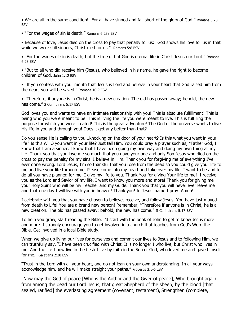• We are all in the same condition! "For all have sinned and fall short of the glory of God." Romans 3:23 ESV

• "For the wages of sin is death." Romans 6:23a ESV

• Because of love, Jesus died on the cross to pay that penalty for us: "God shows his love for us in that while we were still sinners, Christ died for us." Romans 5:8 ESV

• "For the wages of sin is death, but the free gift of God is eternal life in Christ Jesus our Lord." Romans 6:23 ESV

• "But to all who did receive him (Jesus), who believed in his name, he gave the right to become children of God. John 1:12 ESV

• "If you confess with your mouth that Jesus is Lord and believe in your heart that God raised him from the dead, you will be saved." Romans 10:9 ESV

• "Therefore, if anyone is in Christ, he is a new creation. The old has passed away; behold, the new has come." 2 Corinthians 5:17 ESV

God loves you and wants to have an intimate relationship with you! This is absolute fulfillment! This is being who you were meant to be. This is living the life you were meant to live. This is fulfilling the purpose for which you were created! This is the great adventure! The God of the universe wants to live His life in you and through you! Does it get any better than that?

Do you sense He is calling to you...knocking on the door of your heart? Is this what you want in your life? Is this WHO you want in your life? Just tell Him. You could pray a prayer such as, "Father God, I know that I am a sinner. I know that I have been going my own way and doing my own thing all my life. Thank you that you love me so much that you gave your one and only Son Jesus who died on the cross to pay the penalty for my sins. I believe in Him. Thank you for forgiving me of everything I've ever done wrong. Lord Jesus, I'm so thankful that you rose from the dead so you could give your life to me and live your life through me. Please come into my heart and take over my life. I want to be and to do all you have planned for me! I give my life to you. Thank You for giving Your life to me! I receive you as the Lord and Savior of my life. I want to know you more and more! Thank you for giving me your Holy Spirit who will be my Teacher and my Guide. Thank you that you will never ever leave me and that one day I will live with you in heaven! Thank you! In Jesus' name I pray! Amen!"

I celebrate with you that you have chosen to believe, receive, and follow Jesus! You have just moved from death to Life! You are a brand new person! Remember, "Therefore if anyone is in Christ, he is a new creation. The old has passed away; behold, the new has come." II Corinthians 5:17 ESV

To help you grow, start reading the Bible. I'd start with the book of John to get to know Jesus more and more. I strongly encourage you to get involved in a church that teaches from God's Word the Bible. Get involved in a local Bible study.

When we give up living our lives for ourselves and commit our lives to Jesus and to following Him, we can truthfully say, "I have been crucified with Christ. It is no longer I who live, but Christ who lives in me. And the life I now live in the flesh I live by faith in the Son of God, who loved me and gave himself for me." Galatians 2:20 ESV

"Trust in the Lord with all your heart, and do not lean on your own understanding. In all your ways acknowledge him, and he will make straight your paths." Proverbs 3:5-6 ESV

"Now may the God of peace [Who is the Author and the Giver of peace], Who brought again from among the dead our Lord Jesus, that great Shepherd of the sheep, by the blood [that sealed, ratified] the everlasting agreement (covenant, testament), Strengthen (complete,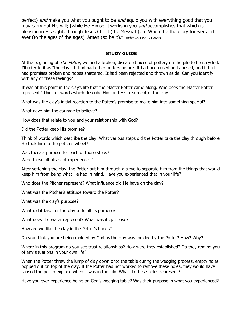perfect) *and* make you what you ought to be *and* equip you with everything good that you may carry out His will; [while He Himself] works in you *and* accomplishes that which is pleasing in His sight, through Jesus Christ (the Messiah); to Whom be the glory forever and ever (to the ages of the ages). Amen (so be it)." Hebrews 13:20-21 AMPC

# **STUDY GUIDE**

At the beginning of *The Potter*, we find a broken, discarded piece of pottery on the pile to be recycled. I'll refer to it as "the clay." It had had other potters before. It had been used and abused, and it had had promises broken and hopes shattered. It had been rejected and thrown aside. Can you identify with any of these feelings?

It was at this point in the clay's life that the Master Potter came along. Who does the Master Potter represent? Think of words which describe Him and His treatment of the clay.

What was the clay's initial reaction to the Potter's promise to make him into something special?

What gave him the courage to believe?

How does that relate to you and your relationship with God?

Did the Potter keep His promise?

Think of words which describe the clay. What various steps did the Potter take the clay through before He took him to the potter's wheel?

Was there a purpose for each of those steps?

Were those all pleasant experiences?

After softening the clay, the Potter put him through a sieve to separate him from the things that would keep him from being what He had in mind. Have you experienced that in your life?

Who does the Pitcher represent? What influence did He have on the clay?

What was the Pitcher's attitude toward the Potter?

What was the clay's purpose?

What did it take for the clay to fulfill its purpose?

What does the water represent? What was its purpose?

How are we like the clay in the Potter's hands?

Do you think you are being molded by God as the clay was molded by the Potter? How? Why?

Where in this program do you see trust relationships? How were they established? Do they remind you of any situations in your own life?

When the Potter threw the lump of clay down onto the table during the wedging process, empty holes popped out on top of the clay. If the Potter had not worked to remove these holes, they would have caused the pot to explode when it was in the kiln. What do these holes represent?

Have you ever experience being on God's wedging table? Was their purpose in what you experienced?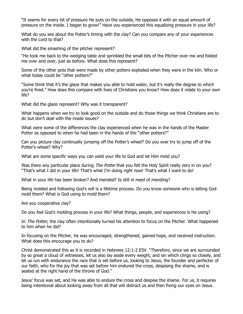"It seems for every bit of pressure He puts on the outside, He opposes it with an equal amount of pressure on the inside. I began to grow!" Have you experienced this equalizing pressure in your life?

What do you see about the Potter's timing with the clay? Can you compare any of your experiences with the Lord to that?

What did the smashing of the pitcher represent?

"He took me back to the wedging table and sprinkled the small bits of the Pitcher over me and folded me over and over, just as before. What does this represent?

Some of the other pots that were made by other potters exploded when they were in the kiln. Who or what today could be "other potters?"

"Some think that it's the glaze that makes you able to hold water, but it's really the degree to which you're fired." How does this compare with lives of Christians you know? How does it relate to your own life?

What did the glaze represent? Why was it transparent?

What happens when we try to look good on the outside and do those things we think Christians are to do but don't deal with the inside issues?

What were some of the differences the clay experienced when he was in the hands of the Master Potter as opposed to when he had been in the hands of the "other potters?"

Can you picture clay continually jumping off the Potter's wheel? Do you ever try to jump off of the Potter's wheel? Why?

What are some specific ways you can yield your life to God and let Him mold you?

Was there any particular place during The Potter that you felt the Holy Spirit really zero in on you? "That's what I did in your life! That's what I'm doing right now! That's what I want to do!

What in your life has been broken? And mended? Is still in need of mending?

Being molded and following God's will is a lifetime process. Do you know someone who is letting God mold them? What is God using to mold them?

Are you cooperative clay?

Do you feel God's molding process in your life? What things, people, and experiences is He using?

In *The Potter*, the clay often intentionally turned his attention to focus on the Pitcher. What happened to him when he did?

In focusing on the Pitcher, he was encouraged, strengthened, gained hope, and received instruction. What does this encourage you to do?

Christ demonstrated this as it is recorded in Hebrews 12:1-2 ESV. "Therefore, since we are surrounded by so great a cloud of witnesses, let us also lay aside every weight, and sin which clings so closely, and let us run with endurance the race that is set before us, looking to Jesus, the founder and perfecter of our faith, who for the joy that was set before him endured the cross, despising the shame, and is seated at the right hand of the throne of God."

Jesus' focus was set, and He was able to endure the cross and despise the shame. For us, it requires being intentional about looking away from all that will distract us and then fixing our eyes on Jesus.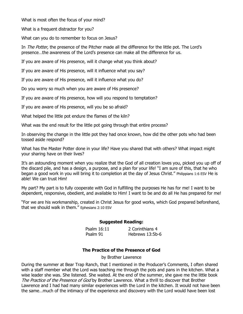What is most often the focus of your mind?

What is a frequent distractor for you?

What can you do to remember to focus on Jesus?

In *The Potter*, the presence of the Pitcher made all the difference for the little pot. The Lord's presence…the awareness of the Lord's presence can make all the difference for us.

If you are aware of His presence, will it change what you think about?

If you are aware of His presence, will it influence what you say?

If you are aware of His presence, will it influence what you do?

Do you worry so much when you are aware of His presence?

If you are aware of His presence, how will you respond to temptation?

If you are aware of His presence, will you be so afraid?

What helped the little pot endure the flames of the kiln?

What was the end result for the little pot going through that entire process?

In observing the change in the little pot they had once known, how did the other pots who had been tossed aside respond?

What has the Master Potter done in your life? Have you shared that with others? What impact might your sharing have on their lives?

It's an astounding moment when you realize that the God of all creation loves you, picked you up off of the discard pile, and has a design, a purpose, and a plan for your life! "I am sure of this, that he who began a good work in you will bring it to completion at the day of Jesus Christ." Philippians 1:6 ESV He is able! We can trust Him!

My part? My part is to fully cooperate with God in fulfilling the purposes He has for me! I want to be dependent, responsive, obedient, and available to Him! I want to be and do all He has prepared for me!

"For we are his workmanship, created in Christ Jesus for good works, which God prepared beforehand, that we should walk in them." Ephesians 2:10 ESV

#### **Suggested Reading:**

Psalm 16:11 2 Corinthians 4 Psalm 91 Hebrews 13:5b-6

#### **The Practice of the Presence of God**

by Brother Lawrence

During the summer at Bear Trap Ranch, that I mentioned in the Producer's Comments, I often shared with a staff member what the Lord was teaching me through the pots and pans in the kitchen. What a wise leader she was. She listened. She waited. At the end of the summer, she gave me the little book The Practice of the Presence of God by Brother Lawrence. What a thrill to discover that Brother Lawrence and I had had many similar experiences with the Lord in the kitchen. It would not have been the same…much of the intimacy of the experience and discovery with the Lord would have been lost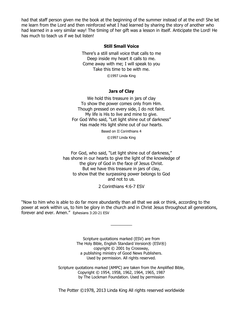had that staff person given me the book at the beginning of the summer instead of at the end! She let me learn from the Lord and then reinforced what I had learned by sharing the story of another who had learned in a very similar way! The timing of her gift was a lesson in itself. Anticipate the Lord! He has much to teach us if we but listen!

#### **Still Small Voice**

There's a still small voice that calls to me Deep inside my heart it calls to me. Come away with me; I will speak to you Take this time to be with me.

©1997 Linda King

#### **Jars of Clay**

We hold this treasure in jars of clay To show the power comes only from Him. Though pressed on every side, I do not faint. My life is His to live and mine to give. For God Who said, "Let light shine out of darkness" Has made His light shine out of our hearts.

Based on II Corinthians 4

©1997 Linda King

For God, who said, "Let light shine out of darkness," has shone in our hearts to give the light of the knowledge of the glory of God in the face of Jesus Christ. But we have this treasure in jars of clay, to show that the surpassing power belongs to God and not to us.

2 Corinthians 4:6-7 ESV

"Now to him who is able to do far more abundantly than all that we ask or think, according to the power at work within us, to him be glory in the church and in Christ Jesus throughout all generations, forever and ever. Amen." Ephesians 3:20-21 ESV

 $\frac{1}{2}$ 

Scripture quotations marked (ESV) are from The Holy Bible, English Standard Version® (ESV®) copyright © 2001 by Crossway, a publishing ministry of Good News Publishers. Used by permission. All rights reserved.

Scripture quotations marked (AMPC) are taken from the Amplified Bible, Copyright © 1954, 1958, 1962, 1964, 1965, 1987 by The Lockman Foundation. Used by permission

The Potter ©1978, 2013 Linda King All rights reserved worldwide